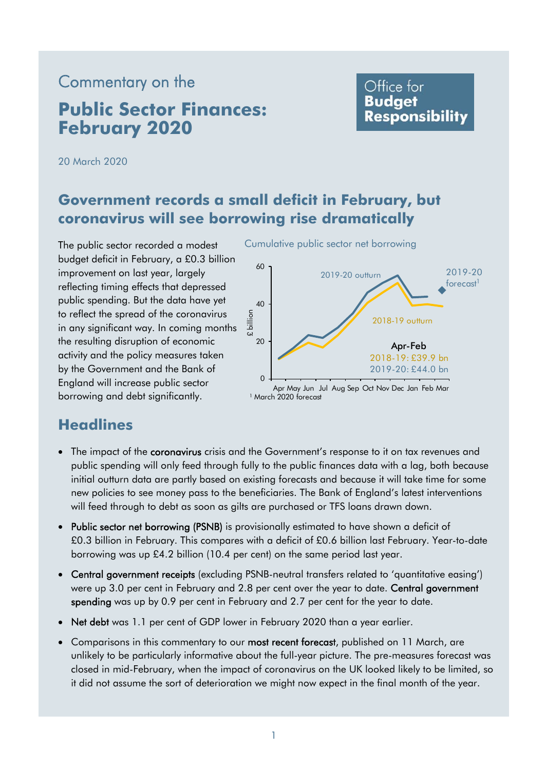# Commentary on the **Public Sector Finances: February 2020**

# Office for **Budget Responsibility**

20 March 2020

# **Government records a small deficit in February, but coronavirus will see borrowing rise dramatically**

The public sector recorded a modest Cumulative public sector net borrowing budget deficit in February, a £0.3 billion  $60$ <br>improvement on last year, largely reflecting timing effects that depressed public spending. But the data have yet  $\frac{40}{40}$ to reflect the spread of the coronavirus in any significant way. In coming months the resulting disruption of economic 20 activity and the policy measures taken by the Government and the Bank of borrowing and debt significantly. England will increase public sector 0



Apr May Jun Jul Aug Sep Oct Nov Dec Jan Feb Mar 1 March 2020 forecast

# **Headlines**

- The impact of the **coronavirus** crisis and the Government's response to it on tax revenues and public spending will only feed through fully to the public finances data with a lag, both because initial outturn data are partly based on existing forecasts and because it will take time for some new policies to see money pass to the beneficiaries. The Bank of England's latest interventions will feed through to debt as soon as gilts are purchased or TFS loans drawn down.
- Public sector net borrowing (PSNB) is provisionally estimated to have shown a deficit of £0.3 billion in February. This compares with a deficit of £0.6 billion last February. Year-to-date borrowing was up £4.2 billion (10.4 per cent) on the same period last year.
- Central government receipts (excluding PSNB-neutral transfers related to 'quantitative easing') were up 3.0 per cent in February and 2.8 per cent over the year to date. Central government spending was up by 0.9 per cent in February and 2.7 per cent for the year to date.
- Net debt was 1.1 per cent of GDP lower in February 2020 than a year earlier.
- Comparisons in this commentary to our most recent forecast, published on 11 March, are unlikely to be particularly informative about the full-year picture. The pre-measures forecast was closed in mid-February, when the impact of coronavirus on the UK looked likely to be limited, so it did not assume the sort of deterioration we might now expect in the final month of the year.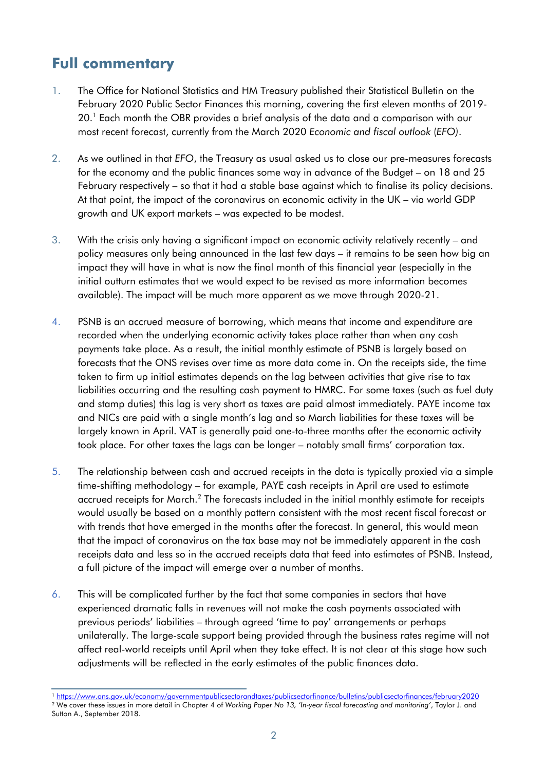# **Full commentary**

- 1. The Office for National Statistics and HM Treasury published their Statistical Bulletin on the February 2020 Public Sector Finances this morning, covering the first eleven months of 2019- 20.<sup>1</sup> Each month the OBR provides a brief analysis of the data and a comparison with our most recent forecast, currently from the March 2020 *Economic and fiscal outlook* (*EFO)*.
- 2. As we outlined in that *EFO*, the Treasury as usual asked us to close our pre-measures forecasts for the economy and the public finances some way in advance of the Budget – on 18 and 25 February respectively – so that it had a stable base against which to finalise its policy decisions. At that point, the impact of the coronavirus on economic activity in the UK – via world GDP growth and UK export markets – was expected to be modest.
- 3. With the crisis only having a significant impact on economic activity relatively recently and policy measures only being announced in the last few days – it remains to be seen how big an impact they will have in what is now the final month of this financial year (especially in the initial outturn estimates that we would expect to be revised as more information becomes available). The impact will be much more apparent as we move through 2020-21.
- 4. PSNB is an accrued measure of borrowing, which means that income and expenditure are recorded when the underlying economic activity takes place rather than when any cash payments take place. As a result, the initial monthly estimate of PSNB is largely based on forecasts that the ONS revises over time as more data come in. On the receipts side, the time taken to firm up initial estimates depends on the lag between activities that give rise to tax liabilities occurring and the resulting cash payment to HMRC. For some taxes (such as fuel duty and stamp duties) this lag is very short as taxes are paid almost immediately. PAYE income tax and NICs are paid with a single month's lag and so March liabilities for these taxes will be largely known in April. VAT is generally paid one-to-three months after the economic activity took place. For other taxes the lags can be longer – notably small firms' corporation tax.
- 5. The relationship between cash and accrued receipts in the data is typically proxied via a simple time-shifting methodology – for example, PAYE cash receipts in April are used to estimate accrued receipts for March.<sup>2</sup> The forecasts included in the initial monthly estimate for receipts would usually be based on a monthly pattern consistent with the most recent fiscal forecast or with trends that have emerged in the months after the forecast. In general, this would mean that the impact of coronavirus on the tax base may not be immediately apparent in the cash receipts data and less so in the accrued receipts data that feed into estimates of PSNB. Instead, a full picture of the impact will emerge over a number of months.
- 6. This will be complicated further by the fact that some companies in sectors that have experienced dramatic falls in revenues will not make the cash payments associated with previous periods' liabilities – through agreed 'time to pay' arrangements or perhaps unilaterally. The large-scale support being provided through the business rates regime will not affect real-world receipts until April when they take effect. It is not clear at this stage how such adjustments will be reflected in the early estimates of the public finances data.

<sup>&</sup>lt;sup>1</sup> https://www.ons.gov.uk/economy/governmentpublicsectorandtaxes/publicsectorfinance/bulletins/publicsectorfinances/february2020<br><sup>2</sup> We cover these issues in more detail in Chapter 4 of Working Paper No 13, 'In-year fisca

Sutton A., September 2018.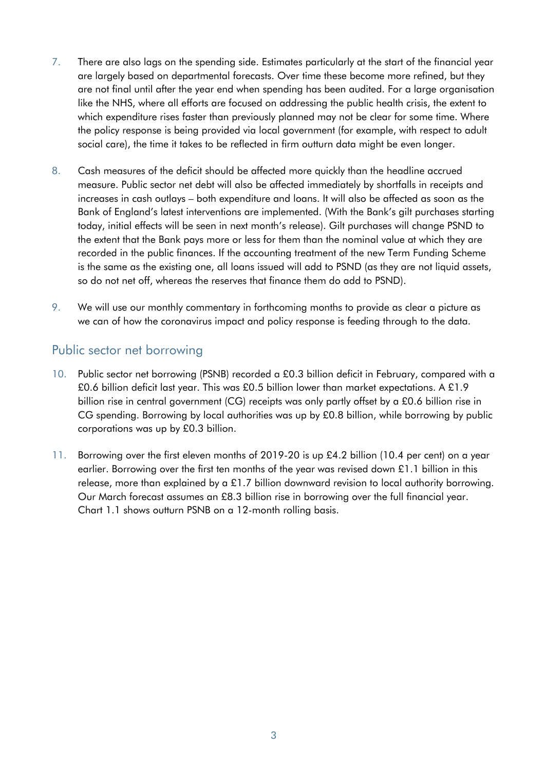- 7. There are also lags on the spending side. Estimates particularly at the start of the financial year are largely based on departmental forecasts. Over time these become more refined, but they are not final until after the year end when spending has been audited. For a large organisation like the NHS, where all efforts are focused on addressing the public health crisis, the extent to which expenditure rises faster than previously planned may not be clear for some time. Where the policy response is being provided via local government (for example, with respect to adult social care), the time it takes to be reflected in firm outturn data might be even longer.
- 8. Cash measures of the deficit should be affected more quickly than the headline accrued measure. Public sector net debt will also be affected immediately by shortfalls in receipts and increases in cash outlays – both expenditure and loans. It will also be affected as soon as the Bank of England's latest interventions are implemented. (With the Bank's gilt purchases starting today, initial effects will be seen in next month's release). Gilt purchases will change PSND to the extent that the Bank pays more or less for them than the nominal value at which they are recorded in the public finances. If the accounting treatment of the new Term Funding Scheme is the same as the existing one, all loans issued will add to PSND (as they are not liquid assets, so do not net off, whereas the reserves that finance them do add to PSND).
- 9. We will use our monthly commentary in forthcoming months to provide as clear a picture as we can of how the coronavirus impact and policy response is feeding through to the data.

# Public sector net borrowing

- 10. Public sector net borrowing (PSNB) recorded a £0.3 billion deficit in February, compared with a £0.6 billion deficit last year. This was £0.5 billion lower than market expectations. A £1.9 billion rise in central government (CG) receipts was only partly offset by a £0.6 billion rise in CG spending. Borrowing by local authorities was up by £0.8 billion, while borrowing by public corporations was up by £0.3 billion.
- 11. Borrowing over the first eleven months of 2019-20 is up £4.2 billion (10.4 per cent) on a year earlier. Borrowing over the first ten months of the year was revised down £1.1 billion in this release, more than explained by a £1.7 billion downward revision to local authority borrowing. Our March forecast assumes an £8.3 billion rise in borrowing over the full financial year. Chart 1.1 shows outturn PSNB on a 12-month rolling basis.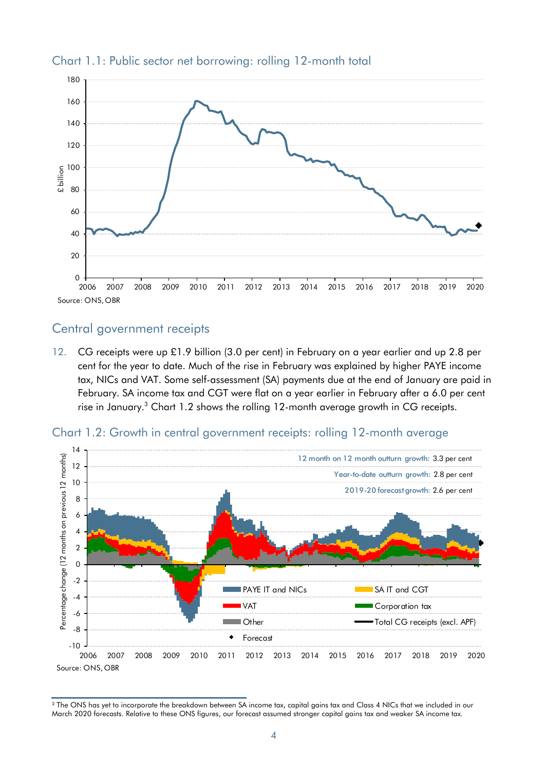

#### Chart 1.1: Public sector net borrowing: rolling 12-month total

#### Central government receipts

12. CG receipts were up £1.9 billion (3.0 per cent) in February on a year earlier and up 2.8 per cent for the year to date. Much of the rise in February was explained by higher PAYE income tax, NICs and VAT. Some self-assessment (SA) payments due at the end of January are paid in February. SA income tax and CGT were flat on a year earlier in February after a 6.0 per cent rise in January. $3$  Chart 1.2 shows the rolling 12-month average growth in CG receipts.





 March 2020 forecasts. Relative to these ONS figures, our forecast assumed stronger capital gains tax and weaker SA income tax. <sup>3</sup> The ONS has yet to incorporate the breakdown between SA income tax, capital gains tax and Class 4 NICs that we included in our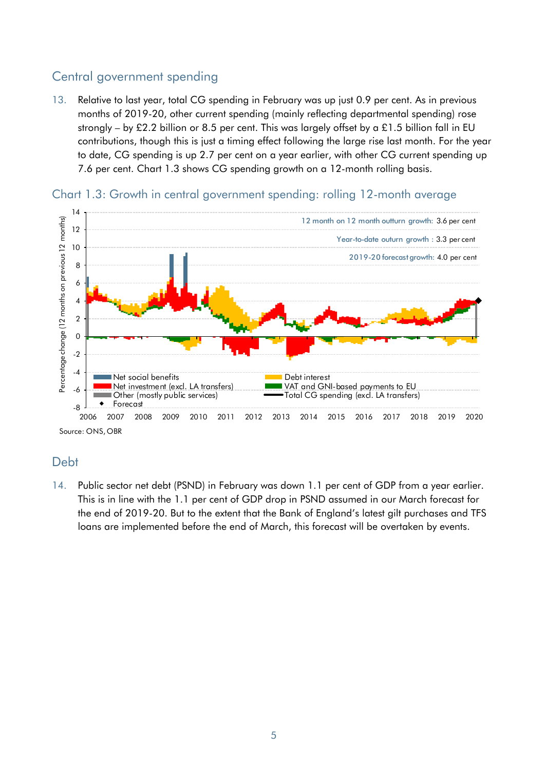# Central government spending

13. Relative to last year, total CG spending in February was up just 0.9 per cent. As in previous months of 2019-20, other current spending (mainly reflecting departmental spending) rose strongly – by £2.2 billion or 8.5 per cent. This was largely offset by a £1.5 billion fall in EU contributions, though this is just a timing effect following the large rise last month. For the year to date, CG spending is up 2.7 per cent on a year earlier, with other CG current spending up 7.6 per cent. Chart 1.3 shows CG spending growth on a 12-month rolling basis.



Chart 1.3: Growth in central government spending: rolling 12-month average

### Debt

14. Public sector net debt (PSND) in February was down 1.1 per cent of GDP from a year earlier. This is in line with the 1.1 per cent of GDP drop in PSND assumed in our March forecast for the end of 2019-20. But to the extent that the Bank of England's latest gilt purchases and TFS loans are implemented before the end of March, this forecast will be overtaken by events.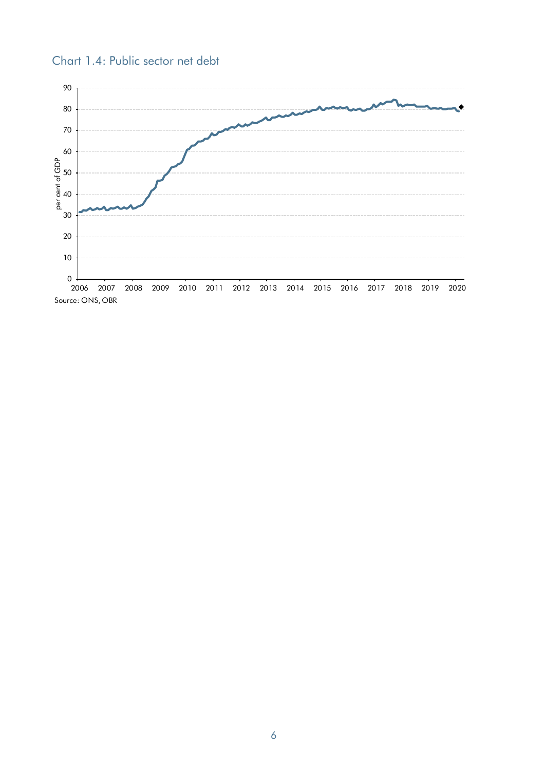

### Chart 1.4: Public sector net debt